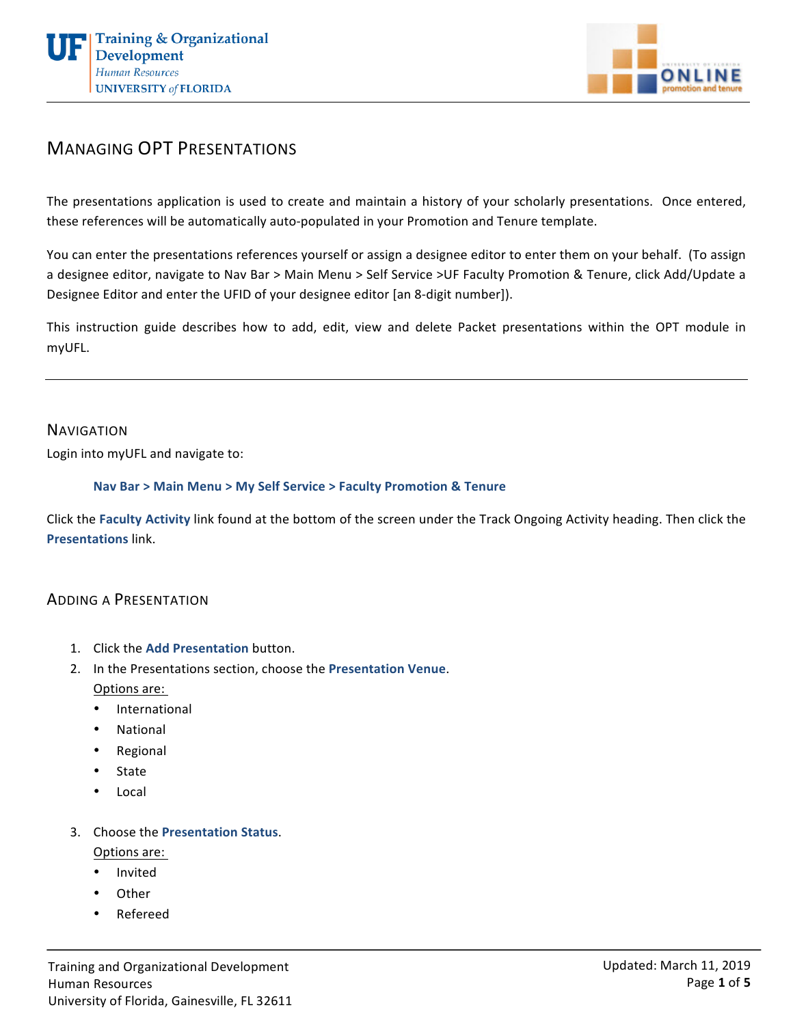



# MANAGING OPT PRESENTATIONS

The presentations application is used to create and maintain a history of your scholarly presentations. Once entered, these references will be automatically auto-populated in your Promotion and Tenure template.

You can enter the presentations references yourself or assign a designee editor to enter them on your behalf. (To assign a designee editor, navigate to Nav Bar > Main Menu > Self Service >UF Faculty Promotion & Tenure, click Add/Update a Designee Editor and enter the UFID of your designee editor [an 8-digit number]).

This instruction guide describes how to add, edit, view and delete Packet presentations within the OPT module in myUFL. 

#### **NAVIGATION**

Login into myUFL and navigate to:

#### **Nav Bar > Main Menu > My Self Service > Faculty Promotion & Tenure**

Click the Faculty Activity link found at the bottom of the screen under the Track Ongoing Activity heading. Then click the **Presentations** link.

#### ADDING A PRESENTATION

- 1. Click the Add Presentation button.
- 2. In the Presentations section, choose the Presentation Venue.

Options are:

- International
- National
- Regional
- State
- Local
- 3. Choose the **Presentation Status**.

Options are:

- Invited
- Other
- Refereed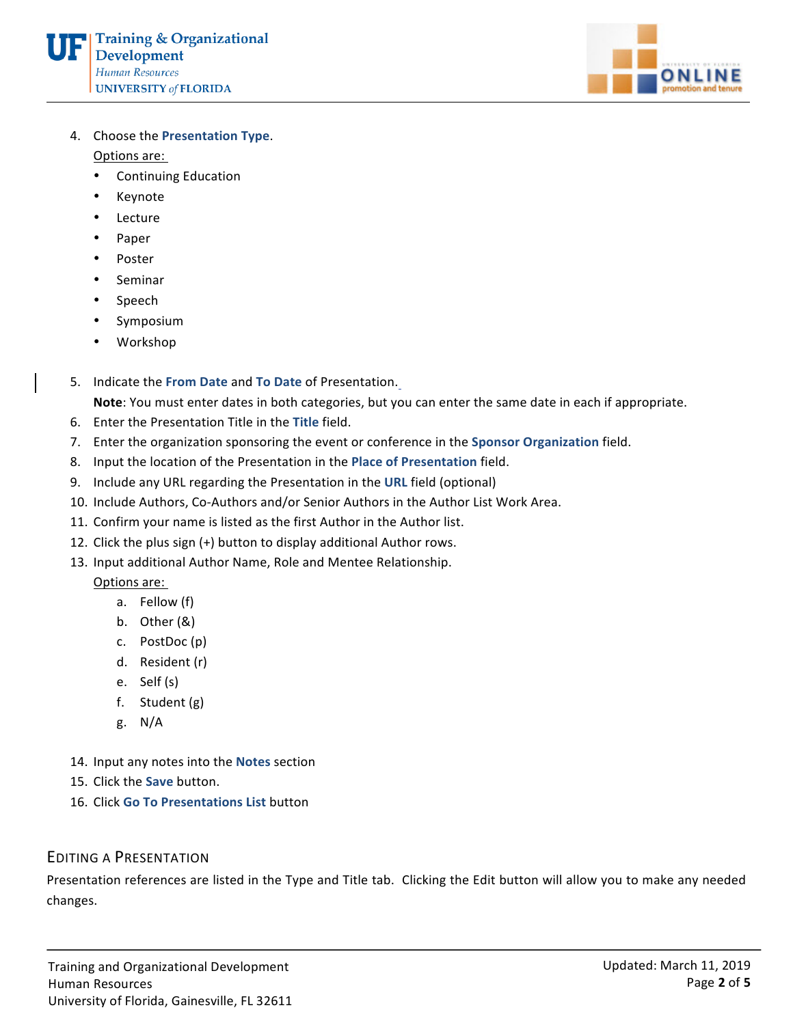

4. Choose the **Presentation Type.** 

Options are:

- Continuing Education
- Keynote
- Lecture
- Paper
- Poster
- Seminar
- Speech
- **Symposium**
- Workshop
- 5. Indicate the From Date and To Date of Presentation.

Note: You must enter dates in both categories, but you can enter the same date in each if appropriate.

- 6. Enter the Presentation Title in the Title field.
- 7. Enter the organization sponsoring the event or conference in the Sponsor Organization field.
- 8. Input the location of the Presentation in the Place of Presentation field.
- 9. Include any URL regarding the Presentation in the URL field (optional)
- 10. Include Authors, Co-Authors and/or Senior Authors in the Author List Work Area.
- 11. Confirm your name is listed as the first Author in the Author list.
- 12. Click the plus sign (+) button to display additional Author rows.
- 13. Input additional Author Name, Role and Mentee Relationship.

Options are:

- a. Fellow (f)
- $b.$  Other  $(8)$
- c. PostDoc(p)
- d. Resident (r)
- e. Self (s)
- f. Student  $(g)$
- g. N/A
- 14. Input any notes into the **Notes** section
- 15. Click the **Save** button.
- 16. Click **Go To Presentations List** button

## **EDITING A PRESENTATION**

Presentation references are listed in the Type and Title tab. Clicking the Edit button will allow you to make any needed changes.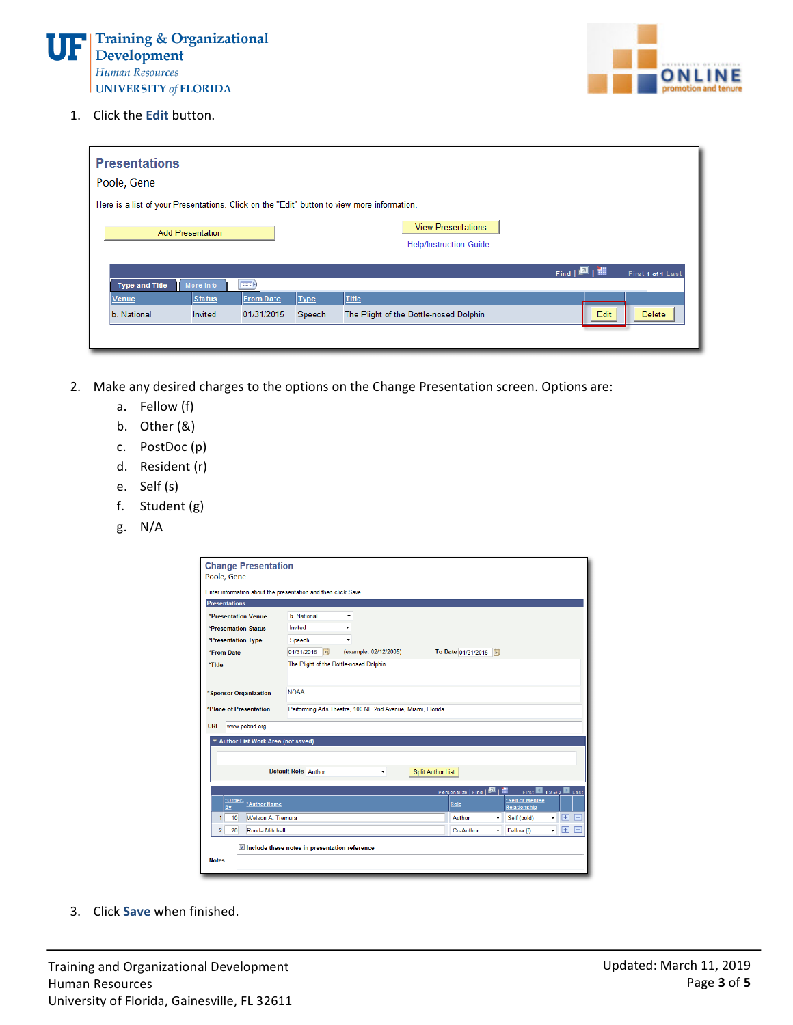

1. Click the **Edit** button.

| <b>Presentations</b><br>Poole, Gene                                                        |                  |             |                                                            |                   |                   |
|--------------------------------------------------------------------------------------------|------------------|-------------|------------------------------------------------------------|-------------------|-------------------|
| Here is a list of your Presentations. Click on the "Edit" button to view more information. |                  |             |                                                            |                   |                   |
| <b>Add Presentation</b>                                                                    |                  |             | <b>View Presentations</b><br><b>Help/Instruction Guide</b> |                   |                   |
|                                                                                            |                  |             |                                                            | $Find \boxed{24}$ | First 1 of 1 Last |
| <b>Type and Title</b><br>More Info                                                         | $\ket{m}$        |             |                                                            |                   |                   |
| <b>Status</b><br>Venue                                                                     | <b>From Date</b> | <b>Iype</b> | Title                                                      |                   |                   |
| b. National<br>Invited                                                                     | 01/31/2015       | Speech      | The Plight of the Bottle-nosed Dolphin                     | Edit              | Delete            |
|                                                                                            |                  |             |                                                            |                   |                   |

- 2. Make any desired charges to the options on the Change Presentation screen. Options are:
	- a. Fellow (f)
	- b. Other (&)
	- c. PostDoc(p)
	- d. Resident (r)
	- e. Self (s)
	- f. Student (g)
	- g. N/A

|                                                                                      | Enter information about the presentation and then click Save. |                       |                                             |                                                         |  |  |
|--------------------------------------------------------------------------------------|---------------------------------------------------------------|-----------------------|---------------------------------------------|---------------------------------------------------------|--|--|
| <b>Presentations</b>                                                                 |                                                               |                       |                                             |                                                         |  |  |
| *Presentation Venue                                                                  | <b>b</b> National                                             | ٠                     |                                             |                                                         |  |  |
| <i><b>*Presentation Status</b></i>                                                   | Invited                                                       |                       |                                             |                                                         |  |  |
| *Presentation Type<br>Speech                                                         |                                                               |                       |                                             |                                                         |  |  |
| *From Date                                                                           | 01/31/2015<br>B1                                              | (example: 02/12/2005) | To Date 01/31/2015                          |                                                         |  |  |
| *Title                                                                               | The Plight of the Bottle-nosed Dolphin                        |                       |                                             |                                                         |  |  |
| *Sponsor Organization                                                                | <b>NOAA</b>                                                   |                       |                                             |                                                         |  |  |
| *Place of Presentation<br>Performing Arts Theatre, 100 NE 2nd Avenue, Miami, Florida |                                                               |                       |                                             |                                                         |  |  |
| www.pobnd.org<br><b>URL</b><br>* Author List Work Area (not saved)                   |                                                               |                       |                                             |                                                         |  |  |
| <b>Default Role</b> Author<br><b>Split Author List</b><br>٠                          |                                                               |                       |                                             |                                                         |  |  |
|                                                                                      |                                                               |                       | Personalize   Find   <b>El</b>   <b>III</b> | First 1-2 of 2 Last                                     |  |  |
|                                                                                      |                                                               |                       |                                             | *Self or Mentee                                         |  |  |
| *Order-<br>*Author Name<br>Bv                                                        |                                                               |                       | Role                                        | <b>Relationship</b>                                     |  |  |
| 10<br><b>Welson A. Tremura</b><br>1                                                  |                                                               |                       | Author                                      | $H =$<br>Self (bold)<br>۰<br>۰                          |  |  |
| $\overline{2}$<br>Ronda Mitchell<br>20                                               |                                                               |                       | Co-Author                                   | $+$<br>E<br>Fellow (f)<br>۰<br>$\overline{\phantom{a}}$ |  |  |

3. Click **Save** when finished.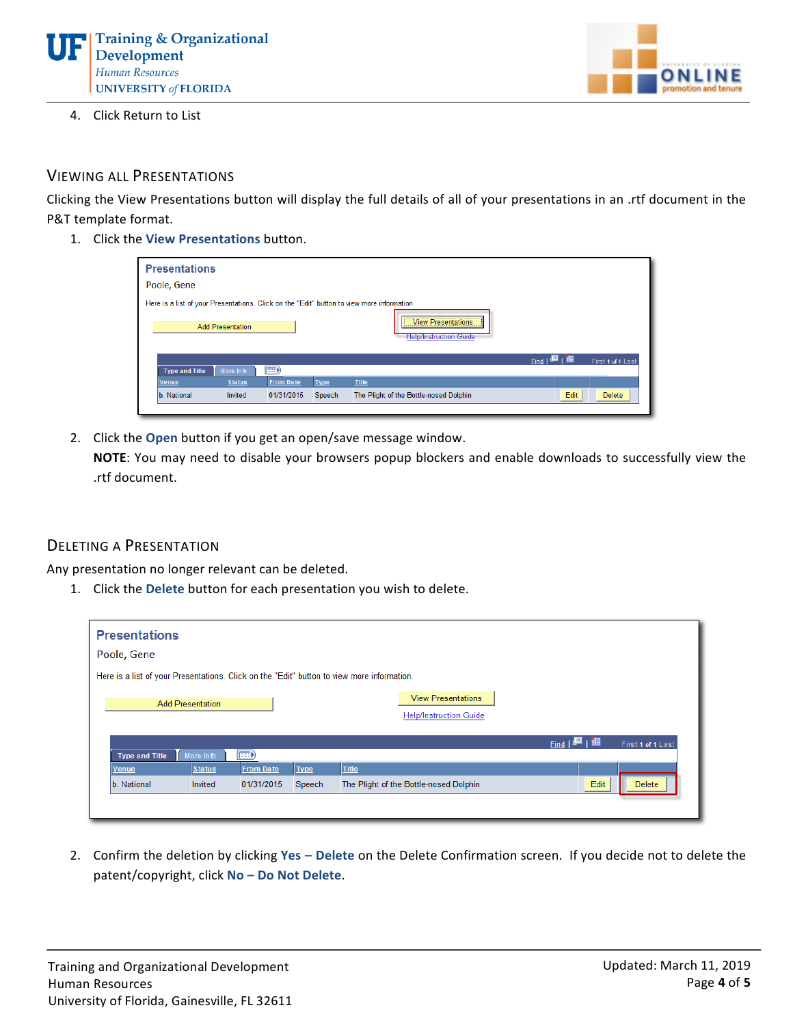



4. Click Return to List

### VIEWING ALL PRESENTATIONS

Clicking the View Presentations button will display the full details of all of your presentations in an .rtf document in the P&T template format.

1. Click the **View Presentations** button.

| <b>Presentations</b><br>Poole, Gene                                                        |                         |                  |             |                                                            |                                  |  |
|--------------------------------------------------------------------------------------------|-------------------------|------------------|-------------|------------------------------------------------------------|----------------------------------|--|
| Here is a list of your Presentations. Click on the "Edit" button to view more information. | <b>Add Presentation</b> |                  |             | <b>View Presentations</b><br><b>Help/Instruction Guide</b> |                                  |  |
|                                                                                            |                         |                  |             |                                                            | ▣╷₩<br>First 1 of 1 Last<br>Find |  |
| <b>Type and Title</b>                                                                      | More Info               | $\ket{m}$        |             |                                                            |                                  |  |
| <b>Venue</b>                                                                               | <b>Status</b>           | <b>From Date</b> | <b>Type</b> | Title                                                      |                                  |  |
| b. National                                                                                | Invited                 | 01/31/2015       | Speech      | The Plight of the Bottle-nosed Dolphin                     | Edit<br><b>Delete</b>            |  |

2. Click the **Open** button if you get an open/save message window.

**NOTE:** You may need to disable your browsers popup blockers and enable downloads to successfully view the .rtf document.

#### **DELETING A PRESENTATION**

Any presentation no longer relevant can be deleted.

1. Click the Delete button for each presentation you wish to delete.

|                                                                                            | <b>Presentations</b><br>Poole, Gene |               |                  |             |                                                            |      |                         |  |
|--------------------------------------------------------------------------------------------|-------------------------------------|---------------|------------------|-------------|------------------------------------------------------------|------|-------------------------|--|
| Here is a list of your Presentations. Click on the "Edit" button to view more information. |                                     |               |                  |             |                                                            |      |                         |  |
|                                                                                            | <b>Add Presentation</b>             |               |                  |             | <b>View Presentations</b><br><b>Help/Instruction Guide</b> |      |                         |  |
|                                                                                            |                                     |               |                  |             |                                                            | Find | ıШ<br>First 1 of 1 Last |  |
|                                                                                            | <b>Type and Title</b>               | More Info     | $ {\bf m} $      |             |                                                            |      |                         |  |
|                                                                                            | <b>Venue</b>                        | <b>Status</b> | <b>From Date</b> | <b>Type</b> | <b>Title</b>                                               |      |                         |  |
|                                                                                            | b. National                         | Invited       | 01/31/2015       | Speech      | The Plight of the Bottle-nosed Dolphin                     |      | Edit<br><b>Delete</b>   |  |
|                                                                                            |                                     |               |                  |             |                                                            |      |                         |  |

2. Confirm the deletion by clicking Yes - Delete on the Delete Confirmation screen. If you decide not to delete the patent/copyright, click No - Do Not Delete.